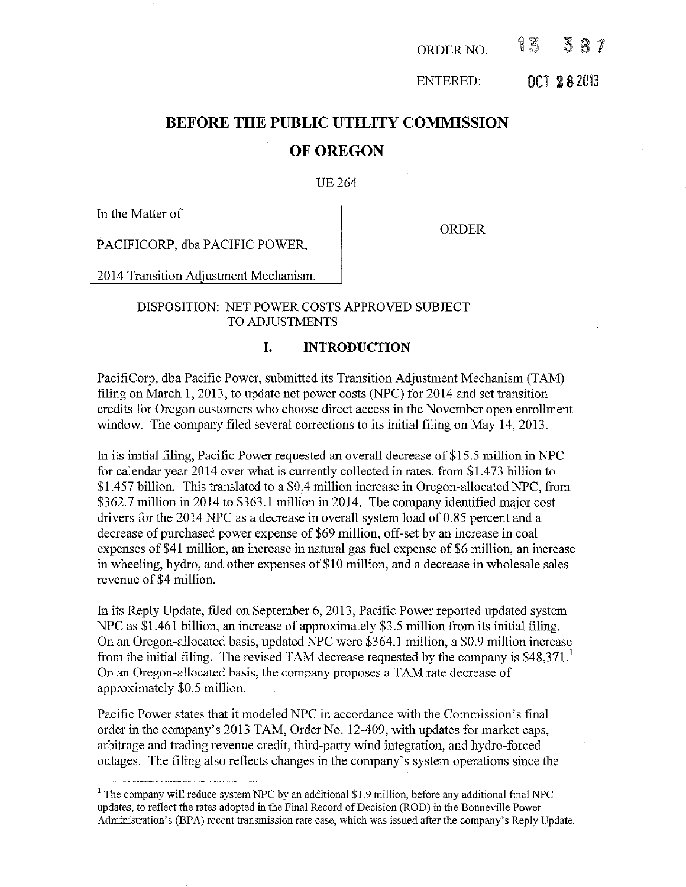| 13<br>387<br>ORDER NO. |
|------------------------|
|------------------------|

ENTERED: OCT 2 8 <sup>2013</sup>

# **BEFORE THE PUBLIC UTILITY COMMISSION OF OREGON**

# UE264

In the Matter of

ORDER

PACIFICORP, dba PACIFIC POWER,

2014 Transition Adjustment Mechanism.

# DISPOSITION: NET POWER COSTS APPROVED SUBJECT TO ADJUSTMENTS

# **I. INTRODUCTION**

PacifiCorp, dba Pacific Power, submitted its Transition Adjustment Mechanism (TAM) filing on March 1, 2013, to update net power costs (NPC) for  $2014$  and set transition credits for Oregon customers who choose direct access in the November open enrolhnent window. The company filed several corrections to its initial filing on May 14, 2013.

In its initial filing, Pacific Power requested an overall decrease of \$15.5 million in NPC for calendar year 2014 over what is currently collected in rates, from \$!.473 billion to \$1.457 billion. This translated to a \$0.4 million increase in Oregon-allocated NPC, from \$362.7 million in 2014 to \$363.1 million in 2014. The company identified major cost drivers for the  $2014$  NPC as a decrease in overall system load of 0.85 percent and a decrease of purchased power expense of \$69 million, off-set by an increase in coal expenses of \$41 million, an increase in natural gas fuel expense of \$6 million, an increase in wheeling, hydro, and other expenses of \$10 million, and a decrease in wholesale sales revenue of \$4 million.

In its Reply Update, filed on September 6, 2013, Pacific Power reported updated system NPC as \$1.461 billion, an increase of approximately \$3.5 million from its initial filing. On an Oregon-allocated basis, updated NPC were \$364.1 million, a \$0.9 million increase from the initial filing. The revised TAM decrease requested by the company is  $$48,371$ . On an Oregon-allocated basis, the company proposes a TAM rate decrease of approximately \$0.5 million.

Pacific Power states that it modeled NPC in accordance with the Commission's final order in the company's 2013 TAM, Order No. 12-409, with updates for market caps, arbitrage and trading revenue credit, third-party wind integration, and hydro-forced outages. The filing also reflects changes in the company's system operations since the

 $<sup>1</sup>$  The company will reduce system NPC by an additional \$1.9 million, before any additional final NPC</sup> updates, to reflect the rates adopted in the Final Record of Decision (ROD) in the Bonneville Power Administration's (BPA) recent transmission rate case, which was issued after the company's Reply Update.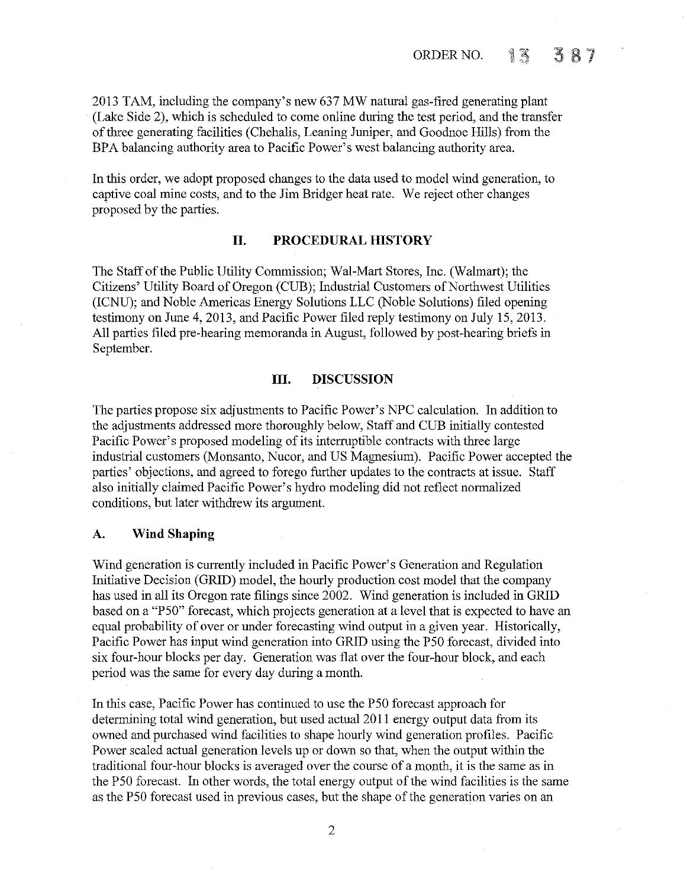2013 TAM, including the company's new 637 MW natural gas-fired generating plant (Lake Side 2), which is scheduled to come online during the test period, and the transfer of three generating facilities (Chehalis, Leaning Juniper, and Goodnoe Hills) from the BPA balancing authority area to Pacific Power's west balancing authority area.

In this order, we adopt proposed changes to the data used to model wind generation, to captive coal mine costs, and to the Jim Bridger heat rate. We reject other changes proposed by the parties.

# **II. PROCEDURAL HISTORY**

The Staff of the Public Utility Commission; Wal-Mart Stores, Inc. (Walmart); the Citizens' Utility Board of Oregon (CUB); Industrial Customers of Northwest Utilities (ICNU); and Noble Americas Energy Solutions LLC (Noble Solutions) filed opening testimony on June 4, 2013, and Pacific Power filed reply testimony on July 15, 2013. All parties filed pre-hearing memoranda in August, followed by post-hearing briefs in September.

# **III. DISCUSSION**

The parties propose six adjustments to Pacific Power's NPC calculation. In addition to the adjustments addressed more thoroughly below, Staff and CUB initially contested Pacific Power's proposed modeling of its interruptible contracts with three large industrial customers (Monsanto, Nucor, and US Magnesium). Pacific Power accepted the parties' objections, and agreed to forego further updates to the contracts at issue. Staff also initially claimed Pacific Power's hydro modeling did not reflect normalized conditions, but later withdrew its argument.

# **A. Wind Shaping**

Wind generation is currently included in Pacific Power's Generation and Regulation Initiative Decision (GRID) model, the hourly production cost model that the company has used in all its Oregon rate filings since 2002. Wind generation is included in GRID based on a "P50" forecast, which projects generation at a level that is expected to have an equal probability of over or under forecasting wind output in a given year. Historically, Pacific Power has input wind generation into GRID using the P50 forecast, divided into six four-hour blocks per day. Generation was flat over the four-hour block, and each period was the same for every day during a month.

In this case, Pacific Power has continued to use the P50 forecast approach for determining total wind generation, but used actual2011 energy output data from its owned and purchased wind facilities to shape hourly wind generation profiles. Pacific Power scaled actual generation levels up or down so that, when the output within the traditional four-hour blocks is averaged over the course of a month, it is the same as in the P50 forecast. In other words, the total energy output of the wind facilities is the same as the P50 forecast used in previous cases, but the shape of the generation varies on an

2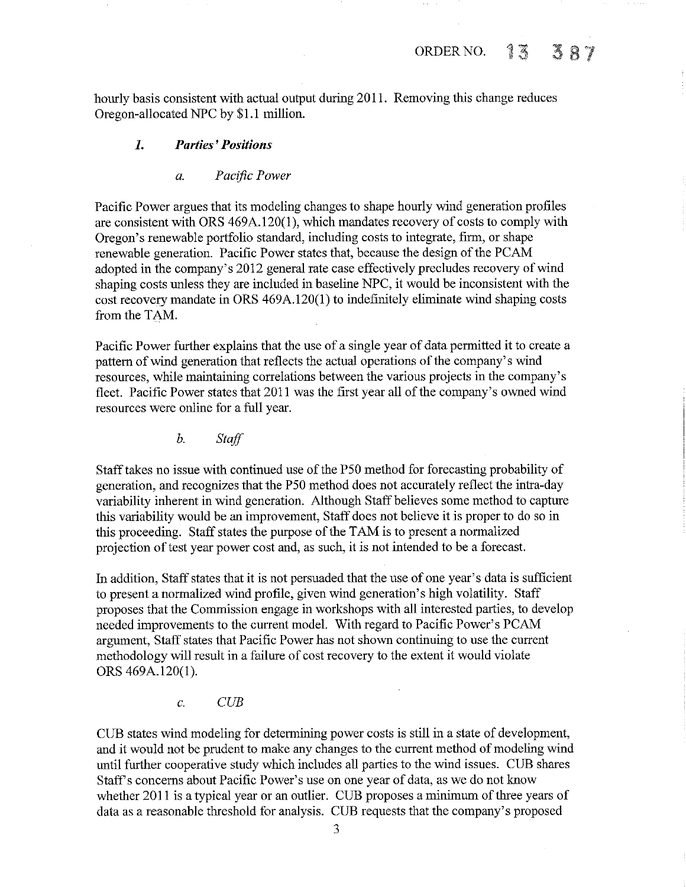hourly basis consistent with actual output during 2011. Removing this change reduces Oregon-allocated NPC by \$1.1 million.

# **1.** *Parties' Positions*

*a. Pacific Power* 

Pacific Power argues that its modeling changes to shape hourly wind generation profiles are consistent with ORS 469A.l20(1), which mandates recovery of costs to comply with Oregon's renewable portfolio standard, including costs to integrate, firm, or shape renewable generation. Pacific Power states that, because the design of the PCAM adopted in the company's 2012 general rate case effectively precludes recovery of wind shaping costs unless they are included in baseline NPC, it would be inconsistent with the cost recovery mandate in ORS 469A.l20(1) to indefinitely eliminate wind shaping costs from the TAM.

Pacific Power further explains that the use of a single year of data permitted it to create a pattern of wind generation that reflects the actual operations of the company's wind resources, while maintaining correlations between the various projects in the company's fleet. Pacific Power states that 2011 was the first year all of the company's owned wind resources were online for a full year.

*b. Staff* 

Staff takes no issue with continued use of the P50 method for forecasting probability of generation, and recognizes that the P50 method does not accurately reflect the intra-day variability inherent in wind generation. Although Staff believes some method to capture this variability would be an improvement, Staff does not believe it is proper to do so in this proceeding. Staff states the purpose of the TAM is to present a normalized projection of test year power cost and, as such, it is not intended to be a forecast.

In addition, Staff states that it is not persuaded that the use of one year's data is sufficient to present a normalized wind profile, given wind generation's high volatility. Staff proposes that the Commission engage in workshops with all interested parties, to develop needed improvements to the current model. With regard to Pacific Power's PCAM argument, Staff states that Pacific Power has not shown continuing to use the current methodology will result in a failure of cost recovery to the extent it would violate ORS 469A.l20(1).

c. *CUB* 

CUB states wind modeling for determining power costs is still in a state of development, and it would not be prudent to make any changes to the current method of modeling wind until further cooperative study which includes all parties to the wind issues. CUB shares Staff's concerns about Pacific Power's use on one year of data, as we do not know whether 2011 is a typical year or an outlier. CUB proposes a minimum of three years of data as a reasonable threshold for analysis. CUB requests that the company's proposed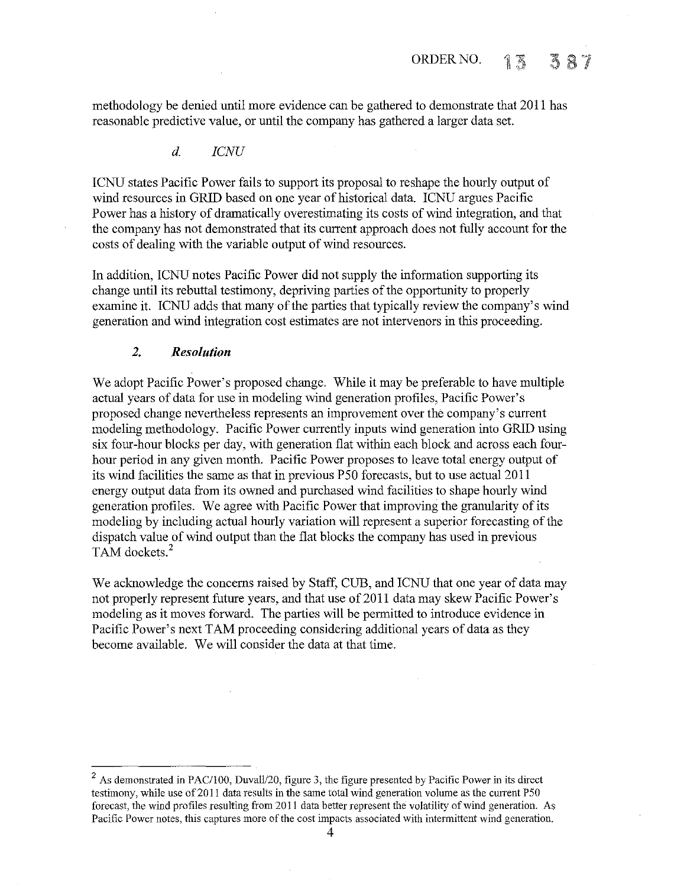methodology be denied until more evidence can be gathered to demonstrate that 2011 has reasonable predictive value, or until the company has gathered a larger data set.

*d. ICNU* 

ICNU states Pacific Power fails to support its proposal to reshape the hourly output of wind resources in GRID based on one year of historical data. ICNU argues Pacific Power has a history of dramatically overestimating its costs of wind integration, and that the company has not demonstrated that its current approach does not fnlly account for the costs of dealing with the variable output of wind resources.

In addition, ICNU notes Pacific Power did not supply the information supporting its change until its rebuttal testimony, depriving parties of the opportunity to properly examine it. ICNU adds that many of the parties that typically review the company's wind generation and wind integration cost estimates are not intervenors in this proceeding.

# *2. Resolution*

We adopt Pacific Power's proposed change. While it may be preferable to have multiple actual years of data for use in modeling wind generation profiles, Pacific Power's proposed change nevertheless represents an improvement over the company's current modeling methodology. Pacific Power currently inputs wind generation into GRID using six four-hour blocks per day, with generation flat within each block and across each fourhour period in any given month. Pacific Power proposes to leave total energy output of its wind facilities the same as that in previous P50 forecasts, but to use actual 2011 energy output data from its owned and purchased wind facilities to shape hourly wind generation profiles. We agree with Pacific Power that improving the granularity of its modeling by including actual hourly variation will represent a superior forecasting of the dispatch value of wind output than the flat blocks the company has used in previous TAM dockets.<sup>2</sup>

We acknowledge the concerns raised by Staff, CUB, and ICNU that one year of data may not properly represent future years, and that use of 2011 data may skew Pacific Power's modeling as it moves forward. The parties will be permitted to introduce evidence in Pacific Power's next TAM proceeding considering additional years of data as they become available. We will consider the data at that time.

 $2$  As demonstrated in PAC/100, Duvall/20, figure 3, the figure presented by Pacific Power in its direct testimony, while use of 2011 data results in the same total wind generation volume as the current P50 forecast, the wind profiles resulting from 2011 data better represent the volatility of wind generation. As **Pacific Power notes, this captures more of the cost impacts associated with intermittent wind generation.**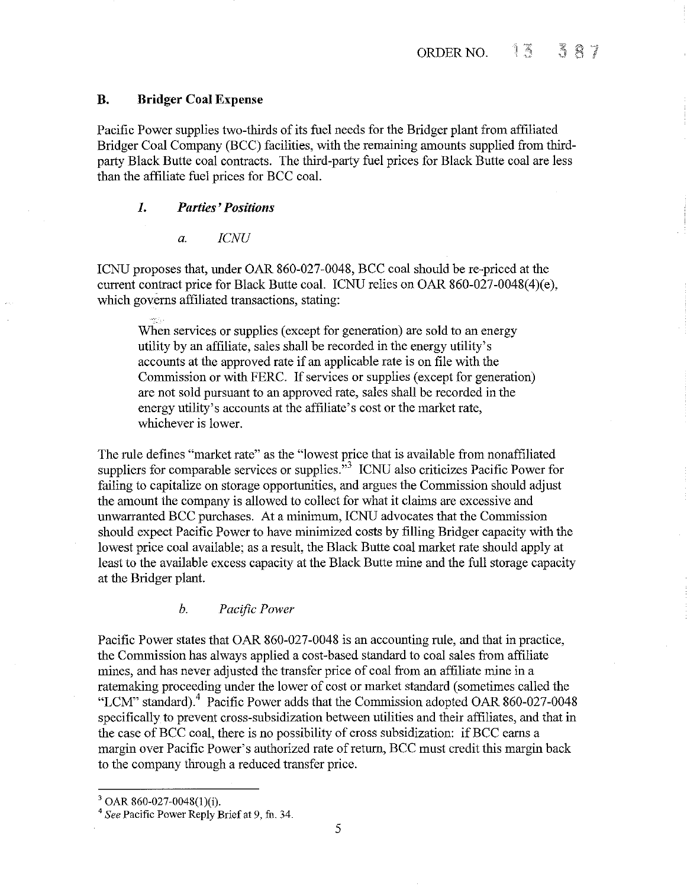# **B. Bridger Coal Expense**

Pacific Power supplies two-thirds of its fuel needs for the Bridger plant from affiliated Bridger *Coal* Company (BCC) facilities, with the remaining amounts supplied from thirdparty Black Butte coal contracts. The third-party fuel prices for Black Butte coal are less than the affiliate fuel prices for BCC coal.

# *1. Parties' Positions*

*a. ICNU* 

ICNU proposes that, under OAR 860-027-0048, BCC coal should be re-priced at the current contract price for Black Butte coal. ICNU relies on OAR 860-027-0048(4)(e), which governs affiliated transactions, stating:

When services or supplies (except for generation) are sold to an energy utility by an affiliate, sales shall be recorded in the energy utility's accounts at the approved rate if an applicable rate is on file with the Commission or with FERC. If services or supplies (except for generation) are not sold pursuant to an approved rate, sales shall be recorded in the energy utility's accounts at the affiliate's cost or the market rate, whichever is lower.

The rule defmes "market rate" as the "lowest price that is available from nonaffiliated suppliers for comparable services or supplies.<sup>53</sup> ICNU also criticizes Pacific Power for failing to capitalize on storage opportunities, and argues the Commission should adjust the amount the company is allowed to collect for what it claims are excessive and unwarranted BCC purchases. At a minimum, ICNU advocates that the Commission should expect Pacific Power to have minimized costs by filling Bridger capacity with the lowest price coal available; as a result, the Black Butte coal market rate should apply at least to the available excess capacity at the Black Butte mine and the full storage capacity at the Bridger plant.

### *b. Pacific Power*

Pacific Power states that OAR 860-027-0048 is an accounting rule, and that in practice, the Commission has always applied a cost-based standard to *coal* sales from affiliate mines, and has never adjusted the transfer price of coal from an affiliate mine in a ratemaking proceeding under the lower of cost or market standard (sometimes called the "LCM" standard).4 Pacific Power adds that the Commission adopted OAR 860-027-0048 specifically to prevent cross-subsidization between utilities and their affiliates, and that in the case of BCC coal, there is no possibility of cross subsidization: if BCC earns a margin over Pacific Power's authorized rate of return, BCC must credit this margin back to the company through a reduced transfer price.

<sup>3</sup> OAR 860-027-0048(l)(i). 4 *See* Pacific Power Reply Brief at 9, fu. 34.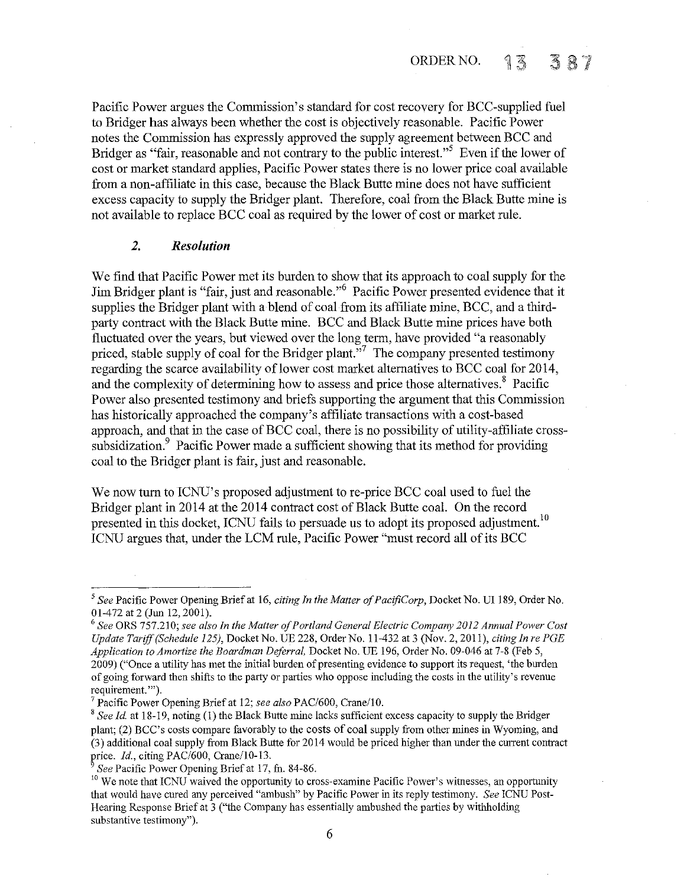Pacific Power argues the Commission's standard for cost recovery for BCC-supplied fuel to Bridger has always been whether the cost is objectively reasonable. Pacific Power notes the Commission has expressly approved the supply agreement between BCC and Bridger as "fair, reasonable and not contrary to the public interest."<sup>5</sup> Even if the lower of cost or market standard applies, Pacific Power states there is no lower price coal available from a non-affiliate in this case, because the Black Butte mine does not have sufficient excess capacity to supply the Bridger plant. Therefore, coal from the Black Butte mine is not available to replace BCC coal as required by the lower of cost or market rule.

# *2. Resolution*

We find that Pacific Power met its burden to show that its approach to coal supply for the Jim Bridger plant is "fair, just and reasonable."6 Pacific Power presented evidence that it supplies the Bridger plant with a blend of coal from its affiliate mine, BCC, and a thirdparty contract with the Black Butte mine. BCC and Black Butte mine prices have both fluctuated over the years, but viewed over the long term, have provided "a reasonably priced, stable supply of coal for the Bridger plant."<sup>7</sup> The company presented testimony regarding the scarce availability of lower cost market alternatives to BCC coal for 2014, and the complexity of determining how to assess and price those alternatives.<sup>8</sup> Pacific Power also presented testimony and briefs supporting the argument that this Commission has historically approached the company's affiliate transactions with a cost-based approach, and that in the case of BCC coal, there is no possibility of utility-affiliate crosssubsidization.<sup>9</sup> Pacific Power made a sufficient showing that its method for providing coal to the Bridger plant is fair, just and reasonable.

We now tum to ICNU's proposed adjustment to re-price BCC coal used to fuel the Bridger plant in 2014 at the 2014 contract cost of Black Butte coal. On the record presented in this docket, ICNU fails to persuade us to adopt its proposed adjustment.<sup>10</sup> ICNU argues that, under the LCM rule, Pacific Power "must record all of its BCC

<sup>&</sup>lt;sup>5</sup> See Pacific Power Opening Brief at 16, *citing In the Matter of PacifiCorp*, Docket No. UI 189, Order No. 01-472 at 2 (Jun 12, 2001).<br><sup>6</sup> See ORS 757.210; *see also In the Matter of Portland General Electric Company 2012 Annual Power Cost* 

*Update Tariff (Schedule 125},* Docket No. UE 228, Order No. 11-432 at 3 (Nov. 2, 2011 ), *citing In re PGE Application to Amortize the Boardman Deferral,* Docket No. UE 196, Order No. 09-046 at 7-8 (Feb 5, 2009) ("Once a utility has met the initial burden of presenting evidence to support its request, 'the burden of going forward then shifts to the party or parties who oppose including the costs in the utility's revenue **requirement.'").** 

<sup>&</sup>lt;sup>7</sup> Pacific Power Opening Brief at 12; *see also* PAC/600, Crane/10.<br><sup>8</sup> *See Id.* at 18-19, noting (1) the Black Butte mine lacks sufficient excess capacity to supply the Bridger plant; (2) BCC's costs compare favorably to the costs of coal supply from other mines in Wyoming, and (3) additional coal supply from Black Butte for 2014 would be priced higher than under the current contract price. *Id.*, citing PAC/600, Crane/10-13.<br><sup>9</sup> *See* Pacific Power Opening Brief at 17, fn. 84-86. <sup>10</sup> We note that ICNU waived the opportunity to cross-examine Pacific Power's witnesses, an opportunity <sup>10</sup>

that would have cured any perceived "ambush" by Pacific Power in its reply testimony. *See* ICNU Post-Hearing Response Brief at 3 ("the Company has essentially ambushed the parties by withholding substantive testimony").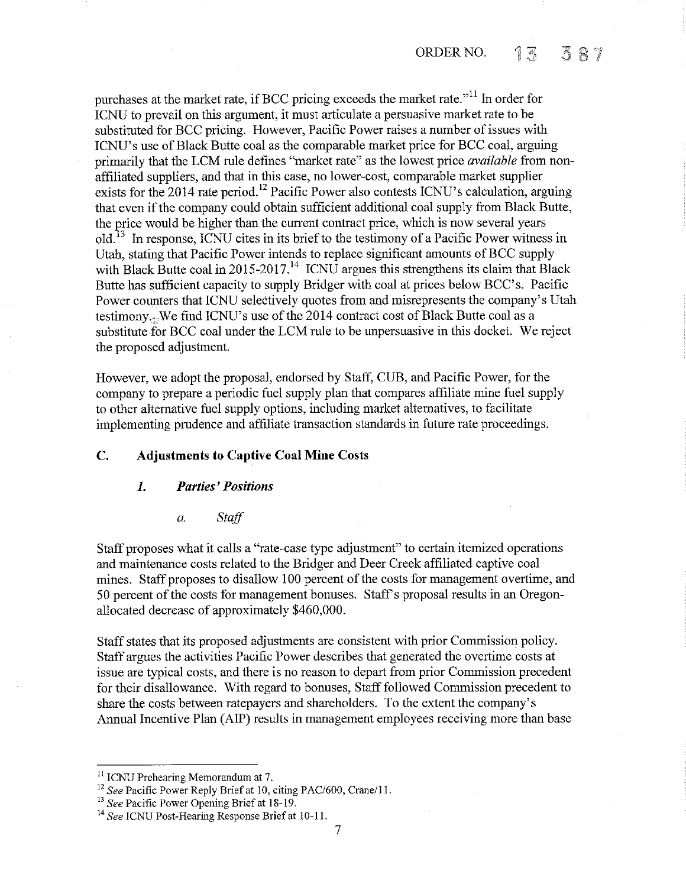purchases at the market rate, if BCC pricing exceeds the market rate."<sup>11</sup> In order for ICNU to prevail on this argument, it must articulate a persuasive market rate to be substituted for BCC pricing. However, Pacific Power raises a number of issues with ICNU's use of Black Butte coal as the comparable market price for BCC coal, arguing primarily that the LCM rule defines "market rate" as the lowest price *available* from nonaffiliated suppliers, and that in this case, no lower-cost, comparable market supplier exists for the 2014 rate period. 12 Pacific Power also contests ICNU's calculation, arguing that even if the company could obtain sufficient additional coal supply from Black Butte, the price would be higher than the current contract price, which is now several years  $old<sup>13</sup>$  In response, ICNU cites in its brief to the testimony of a Pacific Power witness in Utah, stating that Pacific Power intends to replace significant amounts of BCC supply with Black Butte coal in 2015-2017.<sup>14</sup> ICNU argues this strengthens its claim that Black Butte has sufficient capacity to supply Bridger with coal at prices below BCC's. Pacific Power counters that ICNU selectively quotes from and misrepresents the company's Utah testimony.: We fmd ICNU's use of the 2014 contract cost of Black Butte coal as a substitute for BCC coal under the LCM rule to be unpersuasive in this docket. We reject the proposed adjustment.

However, we adopt the proposal, endorsed by Staff, CUB, and Pacific Power, for the company to prepare a periodic fuel supply plan that compares affiliate mine fuel supply to other alternative fuel supply options, including market alternatives, to facilitate implementing prudence and affiliate transaction standards in future rate proceedings.

# **C. Adjustments to Captive Coal Mine Costs**

### *1. Parties' Positions*

*a. Staff* 

Staff proposes what it calls a "rate-case type adjustment" to certain itemized operations and maintenance costs related to the Bridger and Deer Creek affiliated captive coal mines. Staff proposes to disallow 100 percent of the costs for management overtime, and 50 percent of the costs for management bonuses. Staff's proposal results in an Oregonallocated decrease of approximately \$460,000.

Staff states that its proposed adjustments are consistent with prior Commission policy. Staff argues the activities Pacific Power describes that generated the overtime costs at issue are typical costs, and there is no reason to depart from prior Commission precedent for their disallowance. With regard to bonuses, Staff followed Commission precedent to share the costs between ratepayers and shareholders. To the extent the company's Annual Incentive Plan (AlP) results in management employees receiving more than base

<sup>&</sup>lt;sup>11</sup> ICNU Prehearing Memorandum at 7.

<sup>&</sup>lt;sup>12</sup> See Pacific Power Reply Brief at 10, citing PAC/600, Crane/11.<br><sup>13</sup> See Pacific Power Opening Brief at 18-19.<br><sup>14</sup> See ICNU Post-Hearing Response Brief at 10-11.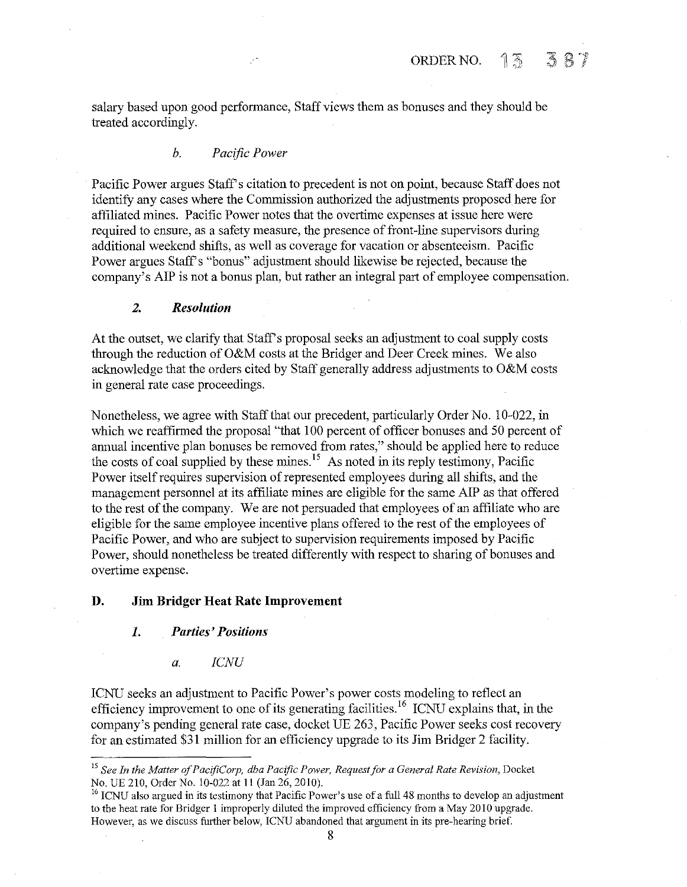salary based upon good performance, Staff views them as bonuses and they should be treated accordingly.

### *b. Pacific Power*

Pacific Power argues Staff's citation to precedent is not on point, because Staff does not identify any cases where the Commission authorized the adjustments proposed here for affiliated mines. Pacific Power notes that the overtime expenses at issue here were required to ensure, as a safety measure, the presence of front-line supervisors during additional weekend shifts, as well as coverage for vacation or absenteeism. Pacific Power argues Staff's "bonus" adjustment should likewise be rejected, because the company's AlP is not a bonus plan, but rather an integral part of employee compensation.

#### *2. Resolution*

At the outset, we clarify that Staff's proposal seeks an adjustment to coal supply costs through the reduction of O&M costs at the Bridger and Deer Creek mines. We also acknowledge that the orders cited by Staff generally address adjustments to O&M costs in general rate case proceedings.

Nonetheless, we agree with Staff that our precedent, particularly Order No. 10-022, in which we reaffirmed the proposal "that 100 percent of officer bonuses and 50 percent of annual incentive plan bonuses be removed from rates," should be applied here to reduce the costs of coal supplied by these mines.<sup>15</sup> As noted in its reply testimony, Pacific Power itself requires supervision of represented employees during all shifts, and the management personnel at its affiliate mines are eligible for the same AlP as that offered to the rest of the company. We are not persuaded that employees of an affiliate who are eligible for the same employee incentive plans offered to the rest of the employees of Pacific Power, and who are subject to supervision requirements imposed by Pacific Power, should nonetheless be treated differently with respect to sharing of bonuses and overtime expense.

# **D. Jim Bridger Heat Rate Improvement**

#### *1. Parties' Positions*

#### a. *ICNU*

lCNU seeks an adjustment to Pacific Power's power costs modeling to reflect an efficiency improvement to one of its generating facilities.<sup>16</sup> ICNU explains that, in the company's pending general rate case, docket UE 263, Pacific Power seeks cost recovery for an estimated \$31 million for an efficiency upgrade to its Jim Bridger 2 facility.

<sup>&</sup>lt;sup>15</sup> See In the Matter of PacifiCorp, dba Pacific Power, Request for a General Rate Revision, Docket No. 10-022 at 11 (Jan 26, 2010).

<sup>&</sup>lt;sup>16</sup> ICNU also argued in its testimony that Pacific Power's use of a full 48 months to develop an adjustment to the heat rate for Bridger I improperly diluted the improved efficiency from a May 2010 upgrade. However, as we discuss further below, ICNU abandoned that argument in its pre-hearing brief.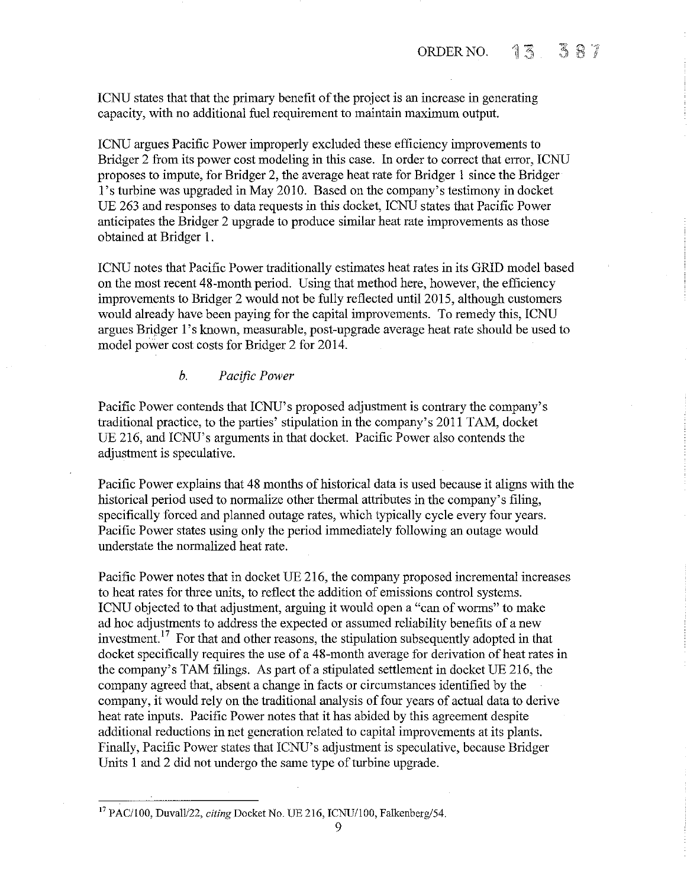ICNU states that that the primary benefit of the project is an increase in generating capacity, with no additional fuel requirement to maintain maximum output.

ICNU argues Pacific Power improperly excluded these efficiency improvements to Bridger 2 from its power cost modeling in this case. In order to correct that error, ICNU proposes to impute, for Bridger 2, the average heat rate for Bridger I since the Bridger 1 's turbine was upgraded in May 2010. Based on the company's testimony in docket UE 263 and responses to data requests in this docket, ICNU states that Pacific Power anticipates the Bridger 2 upgrade to produce similar heat rate improvements as those obtained at Bridger I.

ICNU notes that Pacific Power traditionally estimates heat rates in its GRID model based on the most recent 48-month period. Using that method here, however, the efficiency improvements to Bridger 2 would not be fully reflected until2015, although customers would already have been paying for the capital improvements. To remedy this, ICNU argues Bridger 1's known, measurable, post-upgrade average heat rate should be used to model power cost costs for Bridger 2 for 2014.

# *b. Pacific Power*

Pacific Power contends that ICNU's proposed adjustment is contrary the company's traditional practice, to the parties' stipulation in the company's 2011 TAM, docket UE 216, and ICNU's arguments in that docket. Pacific Power also contends the adjustment is speculative.

Pacific Power explains that 48 months of historical data is used because it aligns with the historical period used to normalize other thermal attributes in the company's filing, specifically forced and planned outage rates, which typically cycle every four years. Pacific Power states using only the period immediately following an outage would understate the normalized heat rate.

Pacific Power notes that in docket UE 216, the company proposed incremental increases to heat rates for three units, to reflect the addition of emissions control systems. ICNU objected to that adjustment, arguing it would open a "can of worms" to make ad hoc adjustments to address the expected or assumed reliability benefits of a new investment. 17 For that and other reasons, the stipulation subsequently adopted in that docket specifically requires the use of a 48-month average for derivation of heat rates in the company's TAM filings. As part of a stipulated settlement in docket UE 216, the company agreed that, absent a change in facts or circumstances identified by the company, it would rely on the traditional analysis of four years of actual data to derive heat rate inputs. Pacific Power notes that it has abided by this agreement despite additional reductions in net generation related to capital improvements at its plants. Finally, Pacific Power states that ICNU's adjustment is speculative, because Bridger Units I and 2 did not undergo the same type of turbine upgrade.

<sup>17</sup> PAC/100, Duvall/22, *citing* Docket No. UE 216, ICNU/100, Falkenberg/54.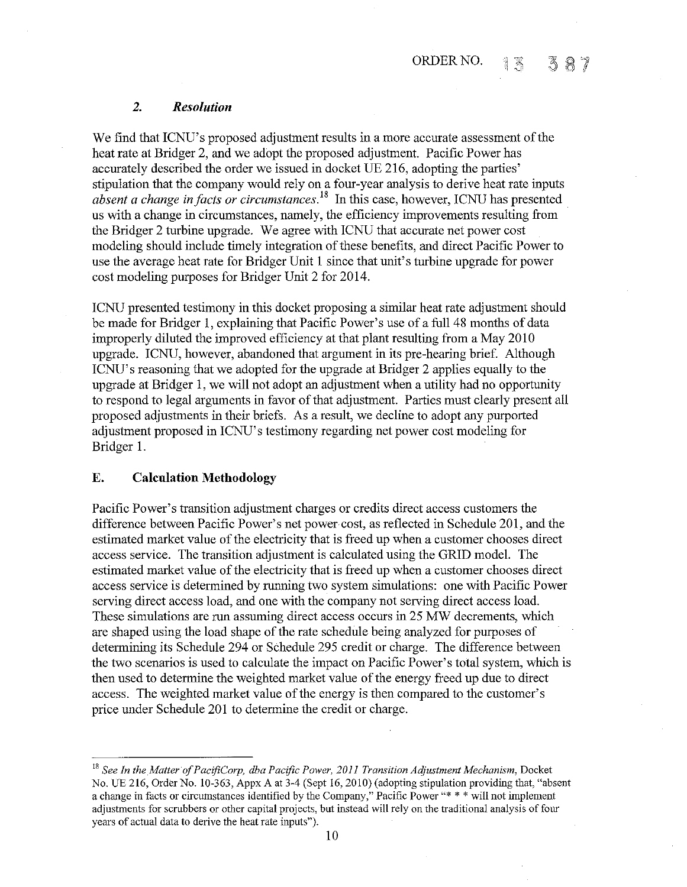# *2. Resolution*

We find that ICNU's proposed adjustment results in a more accurate assessment of the heat rate at Bridger 2, and we adopt the proposed adjustment. Pacific Power has accurately described the order we issued in docket UE 216, adopting the parties' stipulation that the company would rely on a four-year analysis to derive heat rate inputs *absent a change in facts or circumstances18* In this case, however, ICNU has presented us with a change in circumstances, namely, the efficiency improvements resulting from the Bridger 2 turbine upgrade. We agree with ICNU that accurate net power cost modeling should include timely integration of these benefits, and direct Pacific Power to use the average heat rate for Bridger Unit 1 since that unit's turbine upgrade for power cost modeling purposes for Bridger Unit 2 for 2014.

ICNU presented testimony in this docket proposing a similar heat rate adjustment should be made for Bridger 1, explaining that Pacific Power's use of a full 48 months of data improperly diluted the improved efficiency at that plant resulting from a May 2010 upgrade. ICNU, however, abandoned that argument in its pre-hearing brief. Although ICNU's reasoning that we adopted for the upgrade at Bridger 2 applies equally to the upgrade at Bridger 1, we will not adopt an adjustment when a utility had no opportunity to respond to legal arguments in favor of that adjustment. Parties must clearly present all proposed adjustments in their briefs. As a result, we decline to adopt any purported adjustment proposed in ICNU's testimony regarding net power cost modeling for Bridger 1.

# **E. Calculation Methodology**

Pacific Power's transition adjustment charges or credits direct access customers the difference between Pacific Power's net power cost, as reflected in Schedule 201, and the estimated market value of the electricity that is freed up when a customer chooses direct access service. The transition adjustment is calculated using the GRID model. The estimated market value of the electricity that is freed up when a customer chooses direct access service is determined by running two system simulations: one with Pacific Power serving direct access load, and one with the company not serving direct access load. These simulations are run assuming direct access occurs in 25 MW decrements, which are shaped using the load shape of the rate schedule being analyzed for purposes of determining its Schedule 294 or Schedule 295 credit or charge. The difference between the two scenarios is used to calculate the impact on Pacific Power's total system, which is then used to determine the weighted market value of the energy freed up due to direct access. The weighted market value of the energy is then compared to the customer's price under Schedule 201 to determine the credit or charge.

<sup>&</sup>lt;sup>18</sup> See In the Matter of PacifiCorp, dba Pacific Power, 2011 Transition Adjustment Mechanism, Docket No. UE 216, Order No. 10-363, Appx A at 3-4 (Sept 16, 2010) (adopting stipulation providing that, "absent **a change in facts or circwnstances identified by the Company," Pacific Power"\* \* \*will not implement**  adjustments for scrubbers or other capital projects, but instead will rely on the traditional analysis of four years of actual data to derive the heat rate inputs").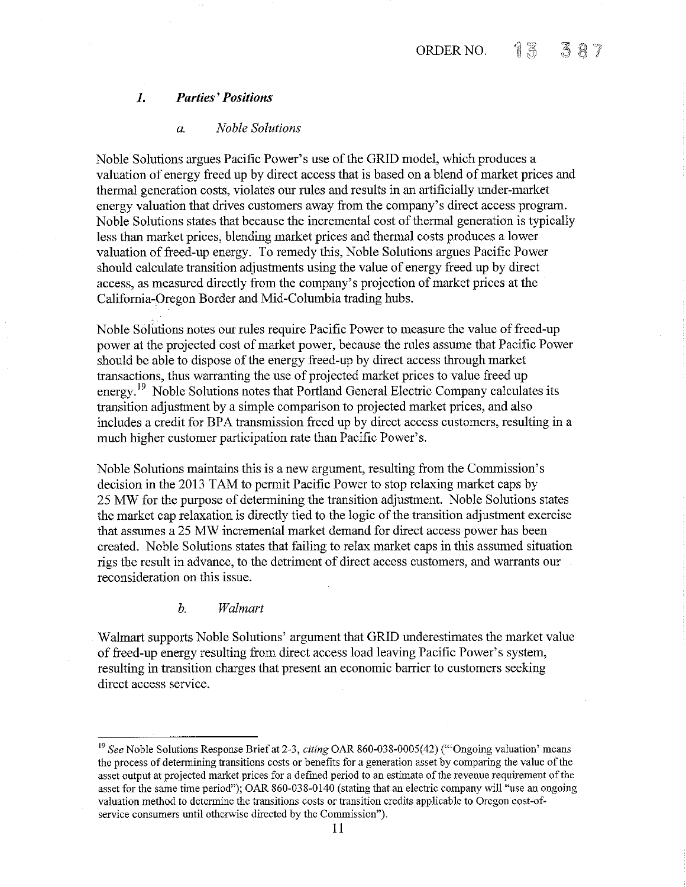## **1.** *Parties' Positions*

### *a. Noble Solutions*

Noble Solutions argues Pacific Power's use of the GRID model, which produces a valuation of energy freed up by direct access that is based on a blend of market prices and thermal generation costs, violates our rules and results in an artificially under-market energy valuation that drives customers away from the company's direct access program. Noble Solutions states that because the incremental cost of thermal generation is typically less than market prices, blending market prices and thermal costs produces a lower valuation of freed-up energy. To remedy this, Noble Solutions argues Pacific Power should calculate transition adjustments using the value of energy freed up by direct access, as measured directly from the company's projection of market prices at the California-Oregon Border and Mid-Columbia trading hubs.

Noble Solutions notes our rules require Pacific Power to measure the value of freed-up power at the projected cost of market power, because the rules assume that Pacific Power should be able to dispose of the energy freed-up by direct access through market transactions, thus warranting the use of projected market prices to value freed up energy.<sup>19</sup> Noble Solutions notes that Portland General Electric Company calculates its transition adjustment by a simple comparison to projected market prices, and also includes a credit for BPA transmission freed up by direct access customers, resulting in a much higher customer participation rate than Pacific Power's.

Noble Solutions maintains this is a new argument, resulting from the Commission's decision in the 2013 TAM to permit Pacific Power to stop relaxing market caps by 25 MW for the purpose of determining the transition adjustment. Noble Solutions states the market cap relaxation is directly tied to the logic of the transition adjustment exercise that assumes a 25 MW incremental market demand for direct access power has been created. Noble Solutions states that failing to relax market caps in this assumed situation rigs the result in advance, to the detriment of direct access customers, and warrants our reconsideration on this issue.

### *b. Walmart*

Walmart supports Noble Solutions' argument that GRID underestimates the market value of freed-up energy resulting from direct access load leaving Pacific Power's system, resulting in transition charges that present an economic barrier to customers seeking direct access service.

<sup>19</sup>*See* Noble Solutions Response Brief at 2-3, *citing* OAR 860-038-0005(42) ('"Ongoing valuation' means **the process of determining transitions costs or benefits for a generation asset by comparing the value of the**  asset output at projected market prices for a defmed period to an estimate of the revenue requirement of the asset for the same time period"); OAR 860-038-0140 (stating that an electric company will "use an ongoing valuation method to determine the transitions costs or transition credits applicable to Oregon cost-of**service consumers until otherwise directed by the Commission").**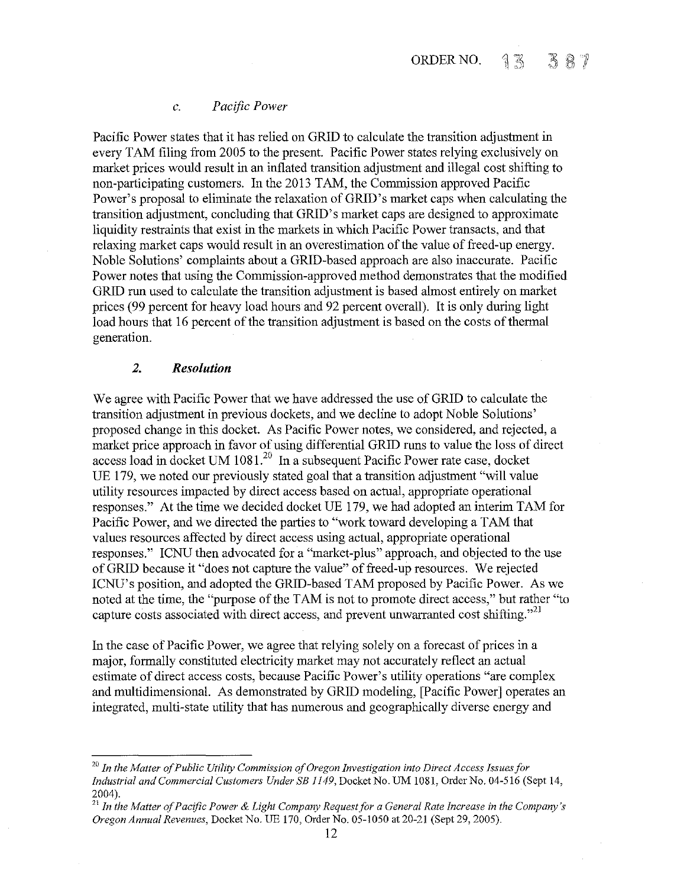# *c. Pacific Power*

Pacific Power states that it has relied on GRID to calculate the transition adjustment in every TAM filing from 2005 to the present. Pacific Power states relying exclusively on market prices would result in an inflated transition adjustment and illegal cost shifting to non-participating customers. In the 2013 TAM, the Commission approved Pacific Power's proposal to eliminate the relaxation of GRID's market caps when calculating the transition adjustment, concluding that GRID's market caps are designed to approximate liquidity restraints that exist in the markets in which Pacific Power transacts, and that relaxing market caps would result in an overestimation of the value of freed-up energy. Noble Solutions' complaints about a GRID-based approach are also inaccurate. Pacific Power notes that using the Commission-approved method demonstrates that the modified GRID run used to calculate the transition adjustment is based almost entirely on market prices (99 percent for heavy load hours and 92 percent overall). It is only during light load hours that 16 percent of the transition adjustment is based on the costs of thermal generation.

### *2. Resolution*

We agree with Pacific Power that we have addressed the use of GRID to calculate the transition adjustment in previous dockets, and we decline to adopt Noble Solutions' proposed change in this docket. As Pacific Power notes, we considered, and rejected, a market price approach in favor of using differential GRID runs to value the loss of direct access load in docket UM 1081.<sup>20</sup> In a subsequent Pacific Power rate case, docket UE 179, we noted our previously stated goal that a transition adjustment "will value utility resources impacted by direct access based on actual, appropriate operational responses." At the time we decided docket UE 179, we had adopted an interim TAM for Pacific Power, and we directed the parties to "work toward developing a TAM that values resources affected by direct access using actual, appropriate operational responses." ICNU then advocated for a "market-plus" approach, and objected to the use of GRID because it "does not capture the value" of freed-up resources. We rejected ICNU's position, and adopted the GRID-based TAM proposed by Pacific Power. As we noted at the time, the "purpose of the TAM is not to promote direct access," but rather "to capture costs associated with direct access, and prevent unwarranted cost shifting."<sup>21</sup>

In the case of Pacific Power, we agree that relying solely on a forecast of prices in a major, formally constituted electricity market may not accurately reflect an actual estimate of direct access costs, because Pacific Power's utility operations "are complex and multidimensional. As demonstrated by GRID modeling, [Pacific Power] operates an integrated, multi-state utility that has numerous and geographically diverse energy and

<sup>20</sup>*In the Matter of Public Utility Commission of Oregon Investigation into Direct Access Issues for Industrial and Commercial Customers Under SB 1149,* Docket No. UM 1081, Order No. 04-516 (Sept 14, 2004).

<sup>21</sup>*In the Matter of Pacific Power* & *Light Company Request for a General Rate Increase in the Company's Oregon Annual Revenues,* Docket No. UE 170, Order No. 05-1050 at 20-21 (Sept 29, 2005).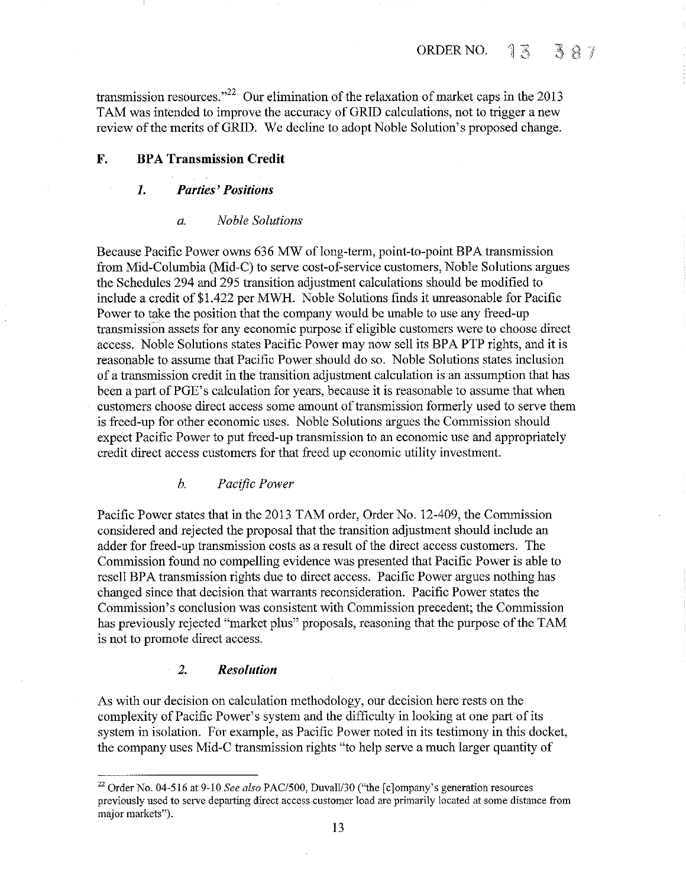transmission resources."<sup>22</sup> Our elimination of the relaxation of market caps in the 2013 TAM was intended to improve the accuracy of GRID calculations, not to trigger a new review of the merits of GRID. We decline to adopt Noble Solution's proposed change.

# **F.** BPA Transmission Credit

# **1.** *Parties' Positions*

### *a. Noble Solutions*

Because Pacific Power owns 636 MW of long-term, point-to-point BPA transmission from Mid-Columbia (Mid-C) to serve cost-of-service customers, Noble Solutions argues the Schedules 294 and 295 transition adjustment calculations should be modified to include a credit of\$1.422 per MWH. Noble Solutions finds it unreasonable for Pacific Power to take the position that the company would be unable to use any freed-up transmission assets for any economic purpose if eligible customers were to choose direct access. Noble Solutions states Pacific Power may now sell its BPA PTP rights, and it is reasonable to assume that Pacific Power should do so. Noble Solutions states inclusion of a transmission credit in the transition adjustment calculation is an assumption that has been a part of PGE's calculation for years, because it is reasonable to assume that when customers choose direct access some amount of transmission formerly used to serve them is freed-up for other economic uses. Noble Solutions argues the Commission should expect Pacific Power to put freed-up transmission to an economic use and appropriately credit direct access customers for that freed up economic utility investment.

# *b. Pacific Power*

Pacific Power states that in the 2013 TAM order, Order No. 12-409, the Commission considered and rejected the proposal that the transition adjustment should include an adder for freed-up transmission costs as a result of the direct access customers. The Commission found no compelling evidence was presented that Pacific Power is able to resell BPA transmission rights due to direct access. Pacific Power argues nothing has changed since that decision that warrants reconsideration. Pacific Power states the Commission's conclusion was consistent with Commission precedent; the Commission has previously rejected "market plus" proposals, reasoning that the purpose of the TAM is not to promote direct access.

### *2. Resolution*

As with our decision on calculation methodology, onr decision here rests on the complexity of Pacific Power's system and the difficulty in looking at one part of its system in isolation. For example, as Pacific Power noted in its testimony in this docket, the company uses Mid-C transmission rights "to help serve a much larger quantity of

<sup>22</sup> Order No. 04-516 at 9-10 *See also* PAC/500, Duvall/30 ("the [c]ompany's generation resources previously used to serve departing direct access customer load are primarily located at some distance from major markets").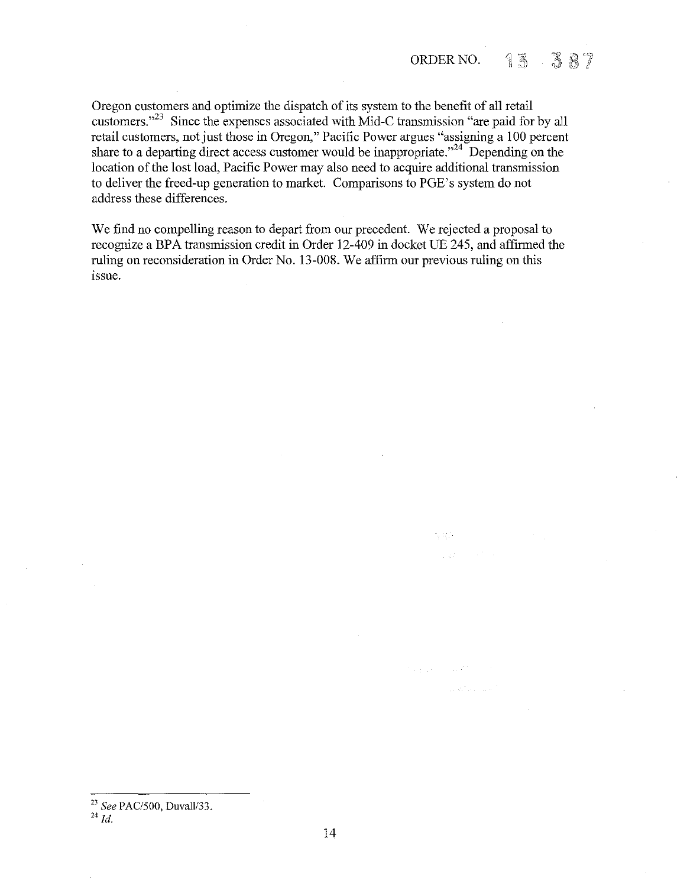440).

a kitalo a k

Oregon customers and optimize the dispatch of its system to the benefit of all retail customers."<sup>23</sup> Since the expenses associated with Mid-C transmission "are paid for by all retail customers, not just those in Oregon," Pacific Power argues "assigning a 100 percent share to a departing direct access customer would be inappropriate."<sup>24</sup> Depending on the location of the lost load, Pacific Power may also need to acquire additional transmission to deliver the freed-up generation to market. Comparisons to PGE's system do not address these differences.

We find no compelling reason to depart from our precedent. We rejected a proposal to recognize a BPA transmission credit in Order 12-409 in docket UE 245, and affrrmed the ruling on reconsideration in Order No. 13-008. We affirm our previous ruling on this issue.

<sup>23</sup>*See* PAC/500, Duvall/33.